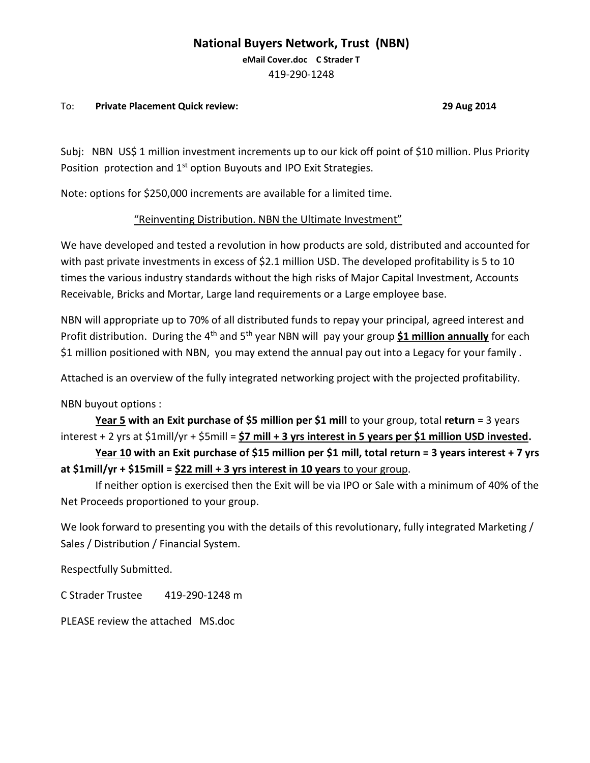#### **National Buyers Network, Trust (NBN)**

**eMail Cover.doc C Strader T**  419-290-1248

#### To: **Private Placement Quick review: 29 Aug 2014**

Subj: NBN US\$ 1 million investment increments up to our kick off point of \$10 million. Plus Priority Position protection and  $1<sup>st</sup>$  option Buyouts and IPO Exit Strategies.

Note: options for \$250,000 increments are available for a limited time.

#### "Reinventing Distribution. NBN the Ultimate Investment"

We have developed and tested a revolution in how products are sold, distributed and accounted for with past private investments in excess of \$2.1 million USD. The developed profitability is 5 to 10 times the various industry standards without the high risks of Major Capital Investment, Accounts Receivable, Bricks and Mortar, Large land requirements or a Large employee base.

NBN will appropriate up to 70% of all distributed funds to repay your principal, agreed interest and Profit distribution. During the 4<sup>th</sup> and 5<sup>th</sup> year NBN will pay your group \$1 million annually for each \$1 million positioned with NBN, you may extend the annual pay out into a Legacy for your family .

Attached is an overview of the fully integrated networking project with the projected profitability.

NBN buyout options :

**Year 5 with an Exit purchase of \$5 million per \$1 mill** to your group, total **return** = 3 years interest + 2 yrs at \$1mill/yr + \$5mill = **\$7 mill + 3 yrs interest in 5 years per \$1 million USD invested.**

**Year 10 with an Exit purchase of \$15 million per \$1 mill, total return = 3 years interest + 7 yrs at \$1mill/yr + \$15mill = \$22 mill + 3 yrs interest in 10 years** to your group.

If neither option is exercised then the Exit will be via IPO or Sale with a minimum of 40% of the Net Proceeds proportioned to your group.

We look forward to presenting you with the details of this revolutionary, fully integrated Marketing / Sales / Distribution / Financial System.

Respectfully Submitted.

C Strader Trustee 419-290-1248 m

PLEASE review the attached MS.doc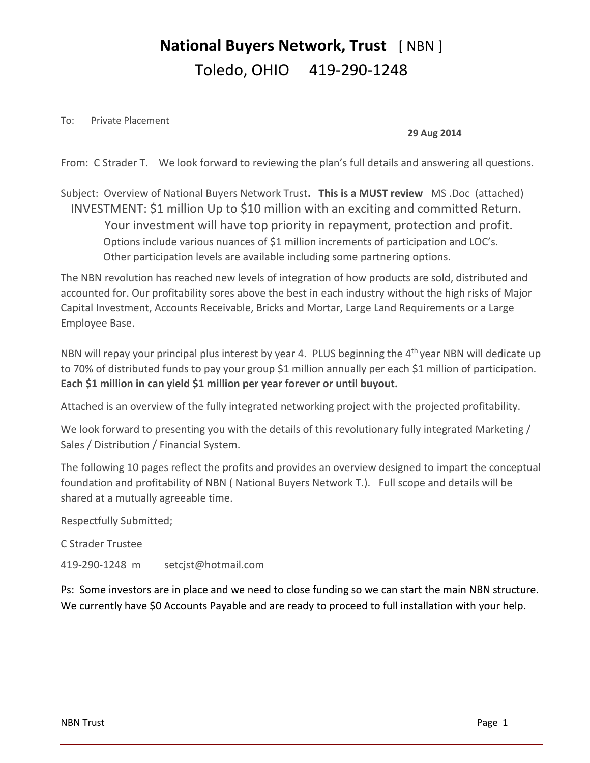## **National Buyers Network, Trust** [ NBN ] Toledo, OHIO 419-290-1248

To: Private Placement

#### **29 Aug 2014**

From: C Strader T. We look forward to reviewing the plan's full details and answering all questions.

Subject: Overview of National Buyers Network Trust**. This is a MUST review** MS .Doc (attached) INVESTMENT: \$1 million Up to \$10 million with an exciting and committed Return. Your investment will have top priority in repayment, protection and profit. Options include various nuances of \$1 million increments of participation and LOC's. Other participation levels are available including some partnering options.

The NBN revolution has reached new levels of integration of how products are sold, distributed and accounted for. Our profitability sores above the best in each industry without the high risks of Major Capital Investment, Accounts Receivable, Bricks and Mortar, Large Land Requirements or a Large Employee Base.

NBN will repay your principal plus interest by year 4. PLUS beginning the 4<sup>th</sup> year NBN will dedicate up to 70% of distributed funds to pay your group \$1 million annually per each \$1 million of participation. **Each \$1 million in can yield \$1 million per year forever or until buyout.**

Attached is an overview of the fully integrated networking project with the projected profitability.

We look forward to presenting you with the details of this revolutionary fully integrated Marketing / Sales / Distribution / Financial System.

The following 10 pages reflect the profits and provides an overview designed to impart the conceptual foundation and profitability of NBN ( National Buyers Network T.). Full scope and details will be shared at a mutually agreeable time.

Respectfully Submitted;

C Strader Trustee

419-290-1248 m setcjst@hotmail.com

Ps: Some investors are in place and we need to close funding so we can start the main NBN structure. We currently have \$0 Accounts Payable and are ready to proceed to full installation with your help.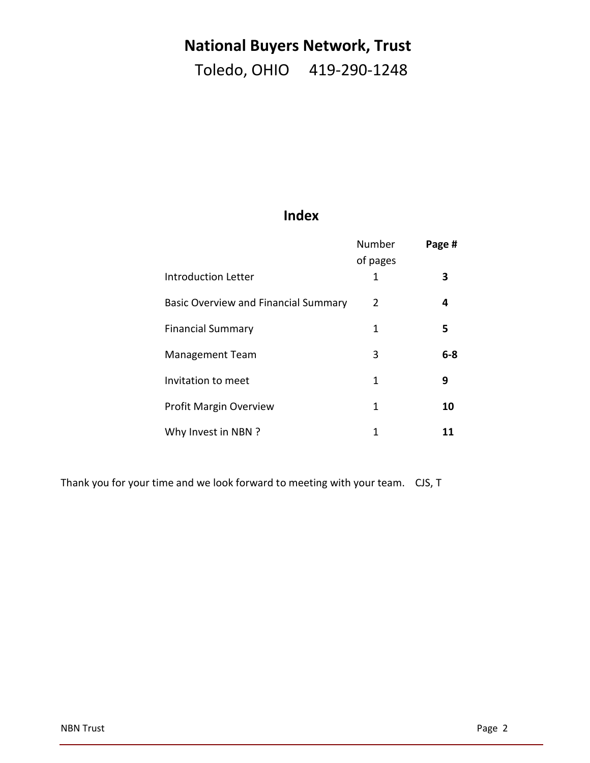## **National Buyers Network, Trust**

Toledo, OHIO 419-290-1248

### **Index**

|                                      | Number<br>of pages | Page #  |
|--------------------------------------|--------------------|---------|
| Introduction Letter                  | 1                  | 3       |
| Basic Overview and Financial Summary | 2                  | 4       |
| <b>Financial Summary</b>             | 1                  | 5       |
| <b>Management Team</b>               | 3                  | $6 - 8$ |
| Invitation to meet                   | 1                  | 9       |
| <b>Profit Margin Overview</b>        | 1                  | 10      |
| Why Invest in NBN ?                  | 1                  | 11      |

Thank you for your time and we look forward to meeting with your team. CJS, T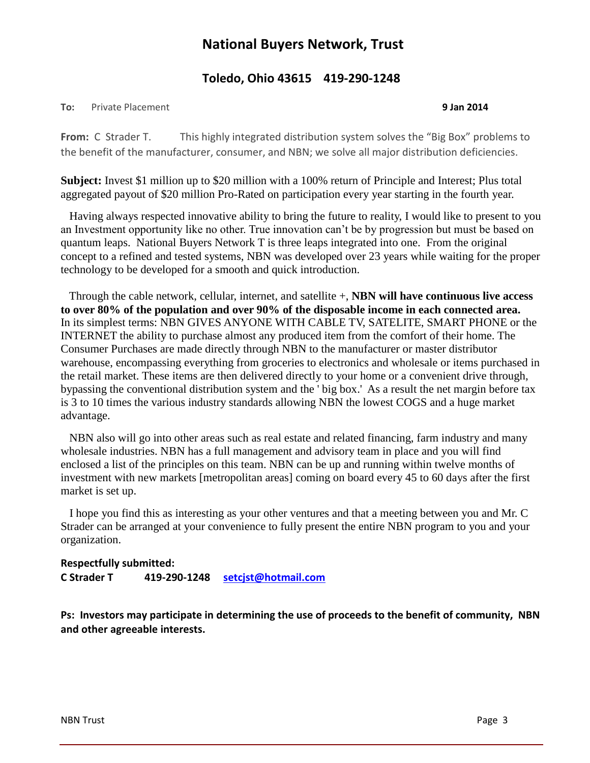### **National Buyers Network, Trust**

#### **Toledo, Ohio 43615 419-290-1248**

#### **To:** Private Placement **9 Jan 2014**

**From:** C Strader T. This highly integrated distribution system solves the "Big Box" problems to the benefit of the manufacturer, consumer, and NBN; we solve all major distribution deficiencies.

**Subject:** Invest \$1 million up to \$20 million with a 100% return of Principle and Interest; Plus total aggregated payout of \$20 million Pro-Rated on participation every year starting in the fourth year.

 Having always respected innovative ability to bring the future to reality, I would like to present to you an Investment opportunity like no other. True innovation can't be by progression but must be based on quantum leaps. National Buyers Network T is three leaps integrated into one. From the original concept to a refined and tested systems, NBN was developed over 23 years while waiting for the proper technology to be developed for a smooth and quick introduction.

 Through the cable network, cellular, internet, and satellite +, **NBN will have continuous live access to over 80% of the population and over 90% of the disposable income in each connected area.** In its simplest terms: NBN GIVES ANYONE WITH CABLE TV, SATELITE, SMART PHONE or the INTERNET the ability to purchase almost any produced item from the comfort of their home. The Consumer Purchases are made directly through NBN to the manufacturer or master distributor warehouse, encompassing everything from groceries to electronics and wholesale or items purchased in the retail market. These items are then delivered directly to your home or a convenient drive through, bypassing the conventional distribution system and the ' big box.' As a result the net margin before tax is 3 to 10 times the various industry standards allowing NBN the lowest COGS and a huge market advantage.

 NBN also will go into other areas such as real estate and related financing, farm industry and many wholesale industries. NBN has a full management and advisory team in place and you will find enclosed a list of the principles on this team. NBN can be up and running within twelve months of investment with new markets [metropolitan areas] coming on board every 45 to 60 days after the first market is set up.

 I hope you find this as interesting as your other ventures and that a meeting between you and Mr. C Strader can be arranged at your convenience to fully present the entire NBN program to you and your organization.

#### **Respectfully submitted: C Strader T 419-290-1248 [setcjst@hotmail.com](mailto:setcjst@hotmail.com)**

**Ps: Investors may participate in determining the use of proceeds to the benefit of community, NBN and other agreeable interests.**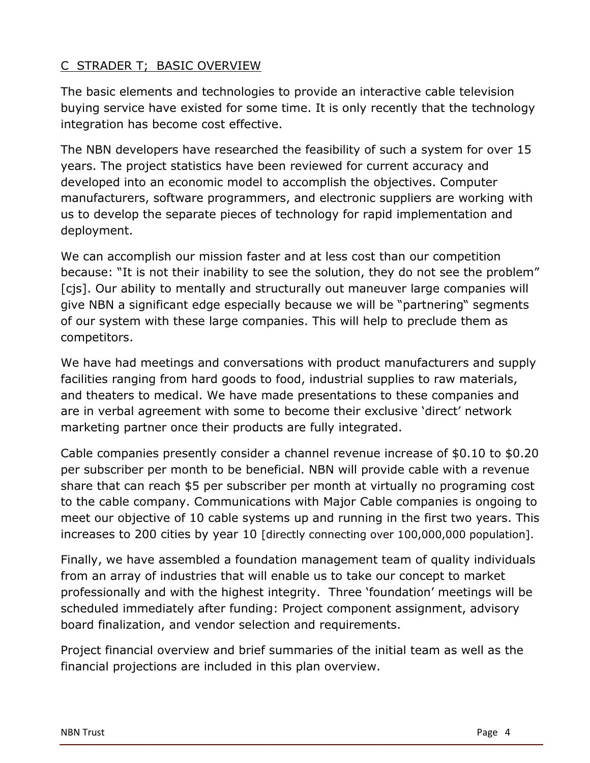#### C STRADER T; BASIC OVERVIEW

The basic elements and technologies to provide an interactive cable television buying service have existed for some time. It is only recently that the technology integration has become cost effective.

The NBN developers have researched the feasibility of such a system for over 15 years. The project statistics have been reviewed for current accuracy and developed into an economic model to accomplish the objectives. Computer manufacturers, software programmers, and electronic suppliers are working with us to develop the separate pieces of technology for rapid implementation and deployment.

We can accomplish our mission faster and at less cost than our competition because: "It is not their inability to see the solution, they do not see the problem" [cjs]. Our ability to mentally and structurally out maneuver large companies will give NBN a significant edge especially because we will be "partnering" segments of our system with these large companies. This will help to preclude them as competitors.

We have had meetings and conversations with product manufacturers and supply facilities ranging from hard goods to food, industrial supplies to raw materials, and theaters to medical. We have made presentations to these companies and are in verbal agreement with some to become their exclusive 'direct' network marketing partner once their products are fully integrated.

Cable companies presently consider a channel revenue increase of \$0.10 to \$0.20 per subscriber per month to be beneficial. NBN will provide cable with a revenue share that can reach \$5 per subscriber per month at virtually no programing cost to the cable company. Communications with Major Cable companies is ongoing to meet our objective of 10 cable systems up and running in the first two years. This increases to 200 cities by year 10 [directly connecting over 100,000,000 population].

Finally, we have assembled a foundation management team of quality individuals from an array of industries that will enable us to take our concept to market professionally and with the highest integrity. Three 'foundation' meetings will be scheduled immediately after funding: Project component assignment, advisory board finalization, and vendor selection and requirements.

Project financial overview and brief summaries of the initial team as well as the financial projections are included in this plan overview.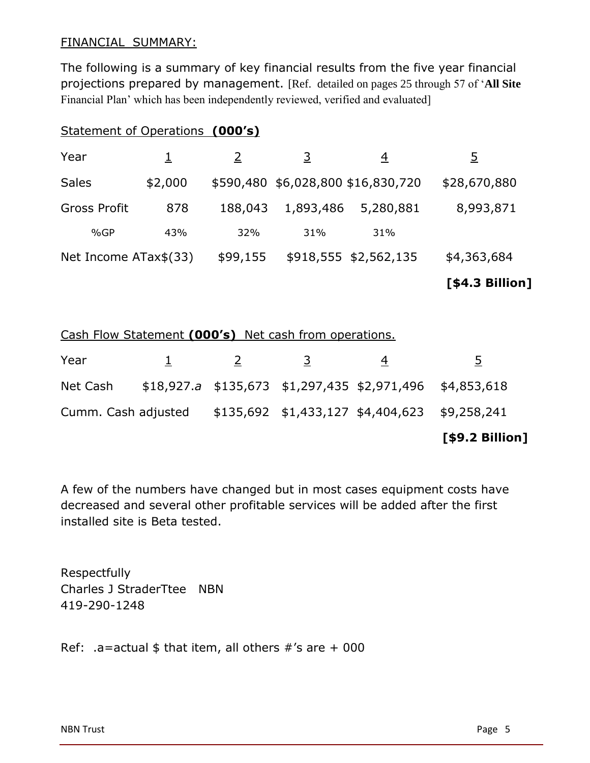#### FINANCIAL SUMMARY:

The following is a summary of key financial results from the five year financial projections prepared by management. [Ref. detailed on pages 25 through 57 of '**All Site** Financial Plan' which has been independently reviewed, verified and evaluated]

#### Statement of Operations **(000's)**

|                       |         |          |           |                                    | [\$4.3 Billion] |
|-----------------------|---------|----------|-----------|------------------------------------|-----------------|
| Net Income ATax\$(33) |         | \$99,155 |           | \$918,555 \$2,562,135              | \$4,363,684     |
| %GP                   | 43%     | 32%      | 31%       | 31%                                |                 |
| <b>Gross Profit</b>   | 878     | 188,043  | 1,893,486 | 5,280,881                          | 8,993,871       |
| <b>Sales</b>          | \$2,000 |          |           | \$590,480 \$6,028,800 \$16,830,720 | \$28,670,880    |
| Year                  |         |          | <u>3</u>  | 4                                  | 5               |

Cash Flow Statement **(000's)** Net cash from operations.

|          |  |   |                                                                   | [\$9.2 Billion] |
|----------|--|---|-------------------------------------------------------------------|-----------------|
|          |  |   | Cumm. Cash adjusted \$135,692 \$1,433,127 \$4,404,623 \$9,258,241 |                 |
| Net Cash |  |   | $$18,927.a$ $$135,673$ $$1,297,435$ $$2,971,496$ $$4,853,618$     |                 |
| Year     |  | 3 | 4                                                                 | 5.              |

A few of the numbers have changed but in most cases equipment costs have decreased and several other profitable services will be added after the first installed site is Beta tested.

Respectfully Charles J StraderTtee NBN 419-290-1248

Ref: .a=actual  $$$  that item, all others  $\#$ 's are + 000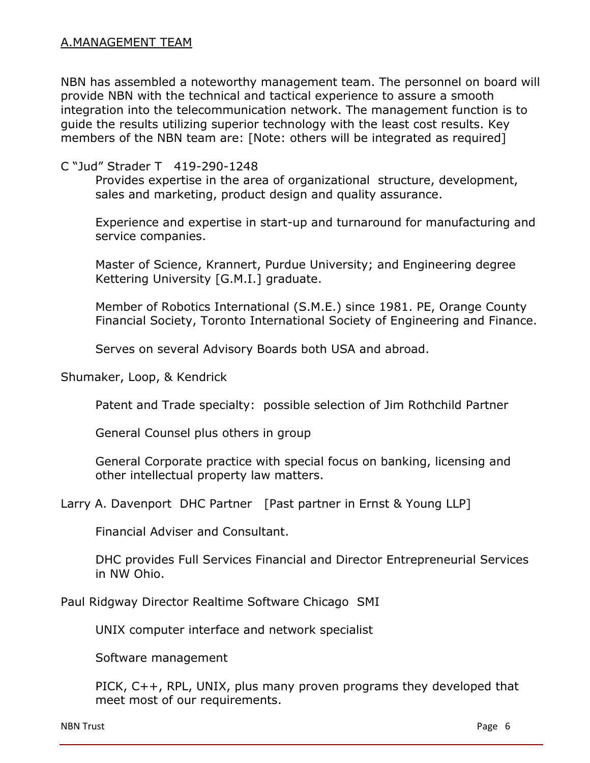NBN has assembled a noteworthy management team. The personnel on board will provide NBN with the technical and tactical experience to assure a smooth integration into the telecommunication network. The management function is to guide the results utilizing superior technology with the least cost results. Key members of the NBN team are: [Note: others will be integrated as required]

#### C "Jud" Strader T 419-290-1248

Provides expertise in the area of organizational structure, development, sales and marketing, product design and quality assurance.

Experience and expertise in start-up and turnaround for manufacturing and service companies.

Master of Science, Krannert, Purdue University; and Engineering degree Kettering University [G.M.I.] graduate.

Member of Robotics International (S.M.E.) since 1981. PE, Orange County Financial Society, Toronto International Society of Engineering and Finance.

Serves on several Advisory Boards both USA and abroad.

Shumaker, Loop, & Kendrick

Patent and Trade specialty: possible selection of Jim Rothchild Partner

General Counsel plus others in group

General Corporate practice with special focus on banking, licensing and other intellectual property law matters.

Larry A. Davenport DHC Partner [Past partner in Ernst & Young LLP]

Financial Adviser and Consultant.

DHC provides Full Services Financial and Director Entrepreneurial Services in NW Ohio.

Paul Ridgway Director Realtime Software Chicago SMI

UNIX computer interface and network specialist

Software management

PICK, C++, RPL, UNIX, plus many proven programs they developed that meet most of our requirements.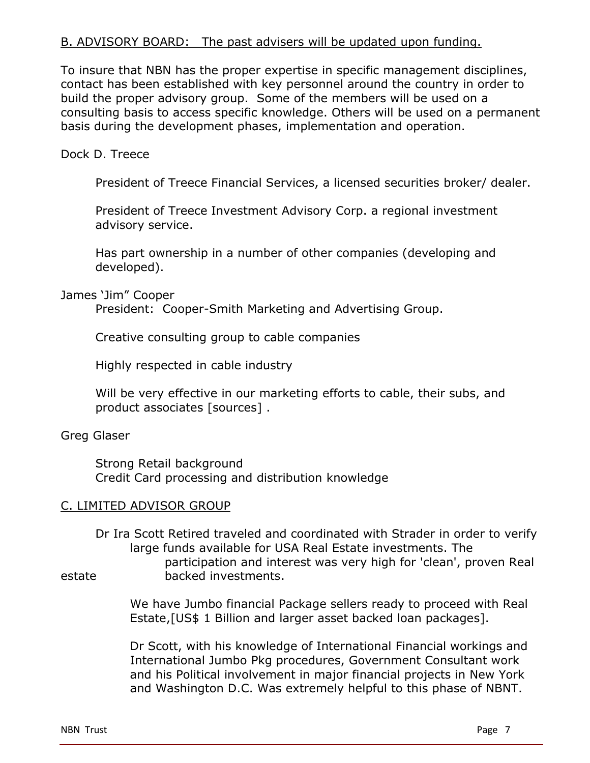#### B. ADVISORY BOARD: The past advisers will be updated upon funding.

To insure that NBN has the proper expertise in specific management disciplines, contact has been established with key personnel around the country in order to build the proper advisory group. Some of the members will be used on a consulting basis to access specific knowledge. Others will be used on a permanent basis during the development phases, implementation and operation.

Dock D. Treece

President of Treece Financial Services, a licensed securities broker/ dealer.

President of Treece Investment Advisory Corp. a regional investment advisory service.

Has part ownership in a number of other companies (developing and developed).

James 'Jim" Cooper

President: Cooper-Smith Marketing and Advertising Group.

Creative consulting group to cable companies

Highly respected in cable industry

Will be very effective in our marketing efforts to cable, their subs, and product associates [sources] .

#### Greg Glaser

Strong Retail background Credit Card processing and distribution knowledge

#### C. LIMITED ADVISOR GROUP

Dr Ira Scott Retired traveled and coordinated with Strader in order to verify large funds available for USA Real Estate investments. The participation and interest was very high for 'clean', proven Real estate backed investments.

> We have Jumbo financial Package sellers ready to proceed with Real Estate,[US\$ 1 Billion and larger asset backed loan packages].

> Dr Scott, with his knowledge of International Financial workings and International Jumbo Pkg procedures, Government Consultant work and his Political involvement in major financial projects in New York and Washington D.C. Was extremely helpful to this phase of NBNT.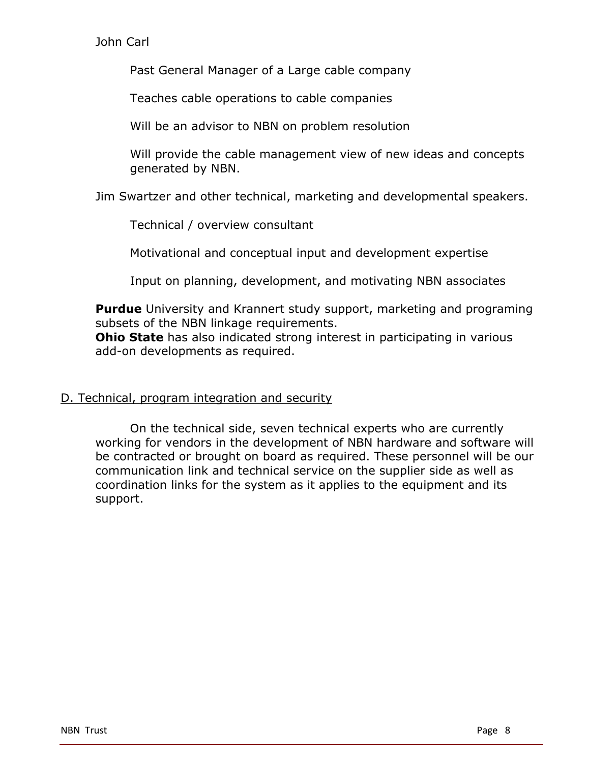#### John Carl

Past General Manager of a Large cable company

Teaches cable operations to cable companies

Will be an advisor to NBN on problem resolution

Will provide the cable management view of new ideas and concepts generated by NBN.

Jim Swartzer and other technical, marketing and developmental speakers.

Technical / overview consultant

Motivational and conceptual input and development expertise

Input on planning, development, and motivating NBN associates

**Purdue** University and Krannert study support, marketing and programing subsets of the NBN linkage requirements.

**Ohio State** has also indicated strong interest in participating in various add-on developments as required.

#### D. Technical, program integration and security

On the technical side, seven technical experts who are currently working for vendors in the development of NBN hardware and software will be contracted or brought on board as required. These personnel will be our communication link and technical service on the supplier side as well as coordination links for the system as it applies to the equipment and its support.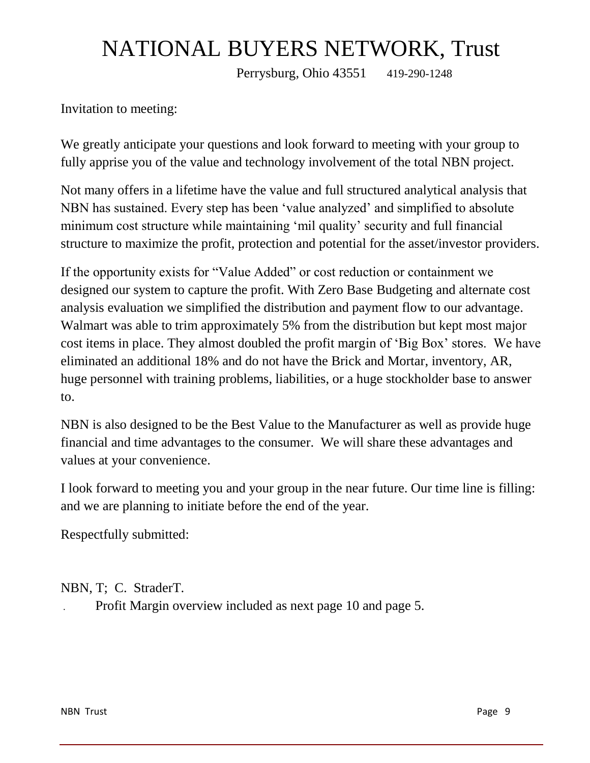# NATIONAL BUYERS NETWORK, Trust

Perrysburg, Ohio 43551 419-290-1248

Invitation to meeting:

We greatly anticipate your questions and look forward to meeting with your group to fully apprise you of the value and technology involvement of the total NBN project.

Not many offers in a lifetime have the value and full structured analytical analysis that NBN has sustained. Every step has been 'value analyzed' and simplified to absolute minimum cost structure while maintaining 'mil quality' security and full financial structure to maximize the profit, protection and potential for the asset/investor providers.

If the opportunity exists for "Value Added" or cost reduction or containment we designed our system to capture the profit. With Zero Base Budgeting and alternate cost analysis evaluation we simplified the distribution and payment flow to our advantage. Walmart was able to trim approximately 5% from the distribution but kept most major cost items in place. They almost doubled the profit margin of 'Big Box' stores. We have eliminated an additional 18% and do not have the Brick and Mortar, inventory, AR, huge personnel with training problems, liabilities, or a huge stockholder base to answer to.

NBN is also designed to be the Best Value to the Manufacturer as well as provide huge financial and time advantages to the consumer. We will share these advantages and values at your convenience.

I look forward to meeting you and your group in the near future. Our time line is filling: and we are planning to initiate before the end of the year.

Respectfully submitted:

NBN, T; C. StraderT.

. Profit Margin overview included as next page 10 and page 5.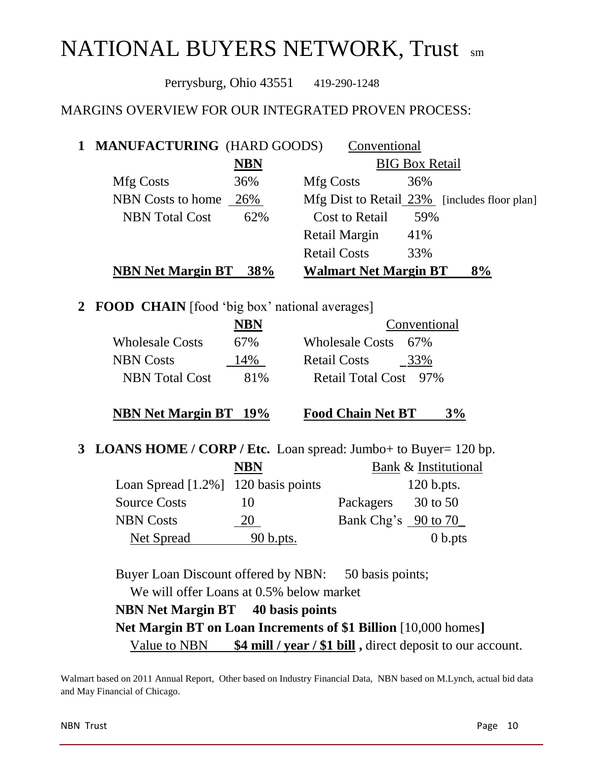# NATIONAL BUYERS NETWORK, Trust sm

Perrysburg, Ohio 43551 419-290-1248

#### MARGINS OVERVIEW FOR OUR INTEGRATED PROVEN PROCESS:

| 1 MANUFACTURING (HARD GOODS) |            | Conventional                 |                                              |
|------------------------------|------------|------------------------------|----------------------------------------------|
|                              | <b>NBN</b> |                              | <b>BIG Box Retail</b>                        |
| Mfg Costs                    | 36%        | Mfg Costs                    | 36%                                          |
| NBN Costs to home 26%        |            |                              | Mfg Dist to Retail 23% [includes floor plan] |
| <b>NBN</b> Total Cost        | 62%        | <b>Cost to Retail</b>        | 59%                                          |
|                              |            | Retail Margin                | 41%                                          |
|                              |            | <b>Retail Costs</b>          | 33%                                          |
| <b>NBN Net Margin BT</b>     | 38%        | <b>Walmart Net Margin BT</b> | 8%                                           |

**2 FOOD CHAIN** [food 'big box' national averages]

|                        | NBN             | Conventional               |
|------------------------|-----------------|----------------------------|
| <b>Wholesale Costs</b> | 67 <sub>%</sub> | Wholesale Costs 67%        |
| <b>NBN</b> Costs       | 14%             | <b>Retail Costs</b><br>33% |
| <b>NBN</b> Total Cost  | 81\%            | Retail Total Cost 97%      |

**NBN Net Margin BT 19% Food Chain Net BT 3%**

**3 LOANS HOME / CORP / Etc.** Loan spread: Jumbo+ to Buyer= 120 bp.

|                                        | NBN       | Bank & Institutional  |
|----------------------------------------|-----------|-----------------------|
| Loan Spread $[1.2\%]$ 120 basis points |           | $120$ b.pts.          |
| <b>Source Costs</b>                    | IO        | 30 to 50<br>Packagers |
| <b>NBN Costs</b>                       |           | Bank Chg's 90 to 70   |
| Net Spread                             | 90 b.pts. | 0 <sub>b.pts</sub>    |

Buyer Loan Discount offered by NBN: 50 basis points;

We will offer Loans at 0.5% below market

**NBN Net Margin BT 40 basis points**

 **Net Margin BT on Loan Increments of \$1 Billion** [10,000 homes**]** Value to NBN **\$4 mill / year / \$1 bill ,** direct deposit to our account.

Walmart based on 2011 Annual Report, Other based on Industry Financial Data, NBN based on M.Lynch, actual bid data and May Financial of Chicago.